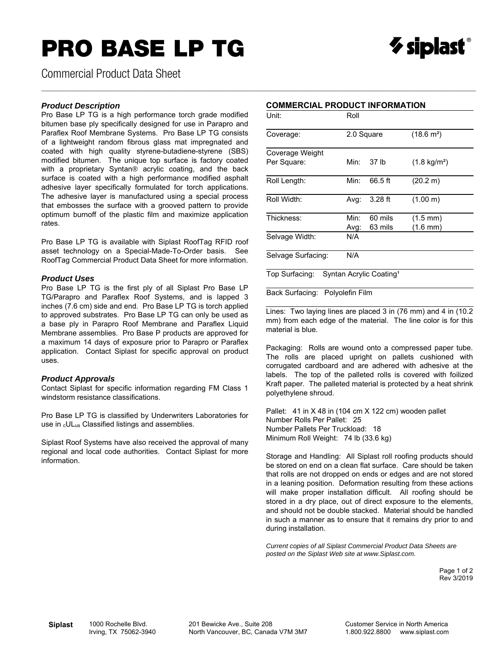# **PRO BASE LP TG**



Commercial Product Data Sheet

#### *Product Description*

Pro Base LP TG is a high performance torch grade modified bitumen base ply specifically designed for use in Parapro and Paraflex Roof Membrane Systems. Pro Base LP TG consists of a lightweight random fibrous glass mat impregnated and coated with high quality styrene-butadiene-styrene (SBS) modified bitumen. The unique top surface is factory coated with a proprietary Syntan*®* acrylic coating, and the back surface is coated with a high performance modified asphalt adhesive layer specifically formulated for torch applications. The adhesive layer is manufactured using a special process that embosses the surface with a grooved pattern to provide optimum burnoff of the plastic film and maximize application rates.

Pro Base LP TG is available with Siplast RoofTag RFID roof asset technology on a Special-Made-To-Order basis. See RoofTag Commercial Product Data Sheet for more information.

#### *Product Uses*

Pro Base LP TG is the first ply of all Siplast Pro Base LP TG/Parapro and Paraflex Roof Systems, and is lapped 3 inches (7.6 cm) side and end. Pro Base LP TG is torch applied to approved substrates. Pro Base LP TG can only be used as a base ply in Parapro Roof Membrane and Paraflex Liquid Membrane assemblies. Pro Base P products are approved for a maximum 14 days of exposure prior to Parapro or Paraflex application. Contact Siplast for specific approval on product uses.

#### *Product Approvals*

Contact Siplast for specific information regarding FM Class 1 windstorm resistance classifications.

Pro Base LP TG is classified by Underwriters Laboratories for use in <sub>c</sub>UL<sub>us</sub> Classified listings and assemblies.

Siplast Roof Systems have also received the approval of many regional and local code authorities. Contact Siplast for more information.

 $\_$  , and the state of the state of the state of the state of the state of the state of the state of the state of the state of the state of the state of the state of the state of the state of the state of the state of the

| Unit:              | Roll       |           |                        |  |  |
|--------------------|------------|-----------|------------------------|--|--|
| Coverage:          | 2.0 Square |           | $(18.6 \text{ m}^2)$   |  |  |
| Coverage Weight    |            |           |                        |  |  |
| Per Square:        | Min:       | 37 lb     | $(1.8 \text{ kg/m}^2)$ |  |  |
| Roll Length:       | Min:       | 66.5 ft   | (20.2 m)               |  |  |
| Roll Width:        | Avg:       | $3.28$ ft | (1.00 m)               |  |  |
| Thickness:         | Min:       | 60 mils   | $(1.5 \text{ mm})$     |  |  |
|                    | Avg:       | 63 mils   | $(1.6 \text{ mm})$     |  |  |
| Selvage Width:     | N/A        |           |                        |  |  |
| Selvage Surfacing: | N/A        |           |                        |  |  |

Top Surfacing: Syntan Acrylic Coating<sup>1</sup>

Back Surfacing: Polyolefin Film

Lines: Two laying lines are placed 3 in (76 mm) and 4 in (10.2 mm) from each edge of the material. The line color is for this material is blue.

Packaging: Rolls are wound onto a compressed paper tube. The rolls are placed upright on pallets cushioned with corrugated cardboard and are adhered with adhesive at the labels. The top of the palleted rolls is covered with foilized Kraft paper. The palleted material is protected by a heat shrink polyethylene shroud.

Pallet: 41 in X 48 in (104 cm X 122 cm) wooden pallet Number Rolls Per Pallet: 25 Number Pallets Per Truckload: 18 Minimum Roll Weight: 74 lb (33.6 kg)

Storage and Handling: All Siplast roll roofing products should be stored on end on a clean flat surface. Care should be taken that rolls are not dropped on ends or edges and are not stored in a leaning position. Deformation resulting from these actions will make proper installation difficult. All roofing should be stored in a dry place, out of direct exposure to the elements, and should not be double stacked. Material should be handled in such a manner as to ensure that it remains dry prior to and during installation.

*Current copies of all Siplast Commercial Product Data Sheets are posted on the Siplast Web site at www.Siplast.com.* 

> Page 1 of 2 Rev 3/2019